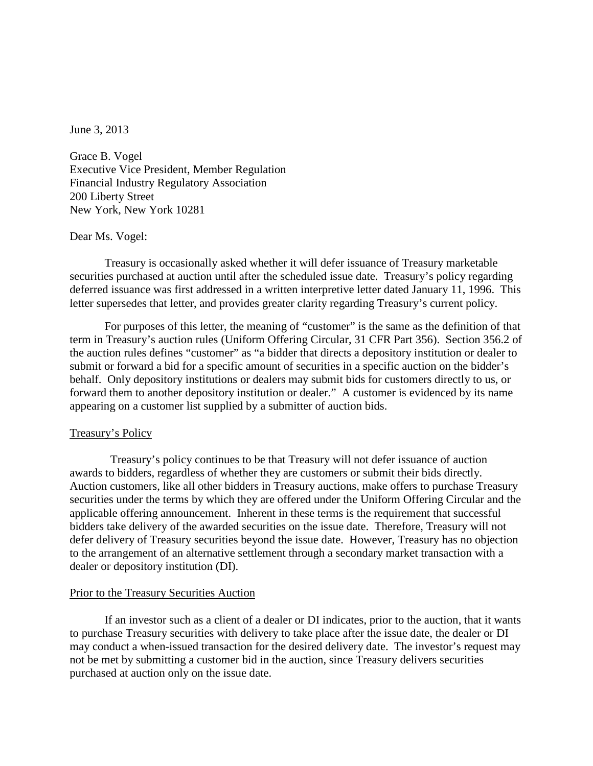June 3, 2013

Grace B. Vogel Executive Vice President, Member Regulation Financial Industry Regulatory Association 200 Liberty Street New York, New York 10281

## Dear Ms. Vogel:

Treasury is occasionally asked whether it will defer issuance of Treasury marketable securities purchased at auction until after the scheduled issue date. Treasury's policy regarding deferred issuance was first addressed in a written interpretive letter dated January 11, 1996. This letter supersedes that letter, and provides greater clarity regarding Treasury's current policy.

 For purposes of this letter, the meaning of "customer" is the same as the definition of that term in Treasury's auction rules (Uniform Offering Circular, 31 CFR Part 356). Section 356.2 of the auction rules defines "customer" as "a bidder that directs a depository institution or dealer to submit or forward a bid for a specific amount of securities in a specific auction on the bidder's behalf. Only depository institutions or dealers may submit bids for customers directly to us, or forward them to another depository institution or dealer." A customer is evidenced by its name appearing on a customer list supplied by a submitter of auction bids.

## Treasury's Policy

 Treasury's policy continues to be that Treasury will not defer issuance of auction awards to bidders, regardless of whether they are customers or submit their bids directly. Auction customers, like all other bidders in Treasury auctions, make offers to purchase Treasury securities under the terms by which they are offered under the Uniform Offering Circular and the applicable offering announcement. Inherent in these terms is the requirement that successful bidders take delivery of the awarded securities on the issue date. Therefore, Treasury will not defer delivery of Treasury securities beyond the issue date. However, Treasury has no objection to the arrangement of an alternative settlement through a secondary market transaction with a dealer or depository institution (DI).

## Prior to the Treasury Securities Auction

If an investor such as a client of a dealer or DI indicates, prior to the auction, that it wants to purchase Treasury securities with delivery to take place after the issue date, the dealer or DI may conduct a when-issued transaction for the desired delivery date. The investor's request may not be met by submitting a customer bid in the auction, since Treasury delivers securities purchased at auction only on the issue date.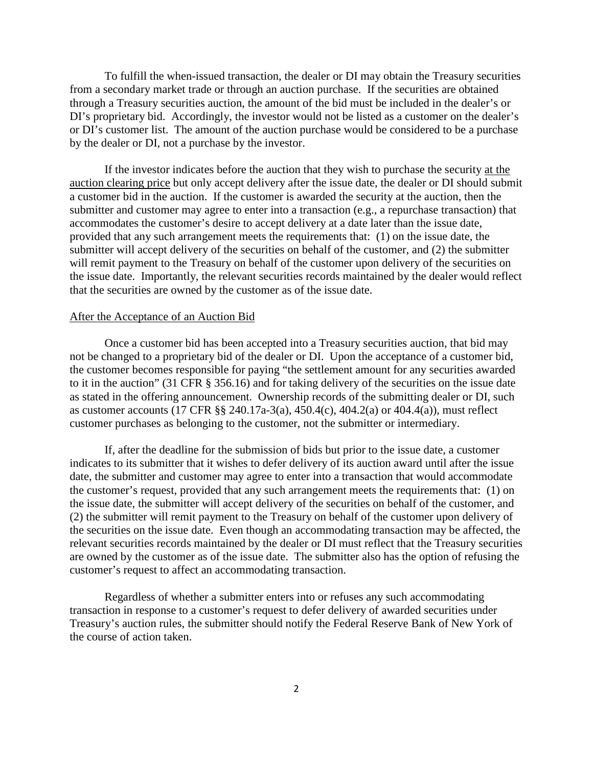To fulfill the when-issued transaction, the dealer or DI may obtain the Treasury securities from a secondary market trade or through an auction purchase. If the securities are obtained through a Treasury securities auction, the amount of the bid must be included in the dealer's or DI's proprietary bid. Accordingly, the investor would not be listed as a customer on the dealer's or DI's customer list. The amount of the auction purchase would be considered to be a purchase by the dealer or DI, not a purchase by the investor.

If the investor indicates before the auction that they wish to purchase the security at the auction clearing price but only accept delivery after the issue date, the dealer or DI should submit a customer bid in the auction. If the customer is awarded the security at the auction, then the submitter and customer may agree to enter into a transaction (e.g., a repurchase transaction) that accommodates the customer's desire to accept delivery at a date later than the issue date, provided that any such arrangement meets the requirements that: (1) on the issue date, the submitter will accept delivery of the securities on behalf of the customer, and (2) the submitter will remit payment to the Treasury on behalf of the customer upon delivery of the securities on the issue date. Importantly, the relevant securities records maintained by the dealer would reflect that the securities are owned by the customer as of the issue date.

## After the Acceptance of an Auction Bid

Once a customer bid has been accepted into a Treasury securities auction, that bid may not be changed to a proprietary bid of the dealer or DI. Upon the acceptance of a customer bid, the customer becomes responsible for paying "the settlement amount for any securities awarded to it in the auction" (31 CFR § 356.16) and for taking delivery of the securities on the issue date as stated in the offering announcement. Ownership records of the submitting dealer or DI, such as customer accounts (17 CFR §§ 240.17a-3(a), 450.4(c), 404.2(a) or 404.4(a)), must reflect customer purchases as belonging to the customer, not the submitter or intermediary.

If, after the deadline for the submission of bids but prior to the issue date, a customer indicates to its submitter that it wishes to defer delivery of its auction award until after the issue date, the submitter and customer may agree to enter into a transaction that would accommodate the customer's request, provided that any such arrangement meets the requirements that: (1) on the issue date, the submitter will accept delivery of the securities on behalf of the customer, and (2) the submitter will remit payment to the Treasury on behalf of the customer upon delivery of the securities on the issue date. Even though an accommodating transaction may be affected, the relevant securities records maintained by the dealer or DI must reflect that the Treasury securities are owned by the customer as of the issue date. The submitter also has the option of refusing the customer's request to affect an accommodating transaction.

Regardless of whether a submitter enters into or refuses any such accommodating transaction in response to a customer's request to defer delivery of awarded securities under Treasury's auction rules, the submitter should notify the Federal Reserve Bank of New York of the course of action taken.